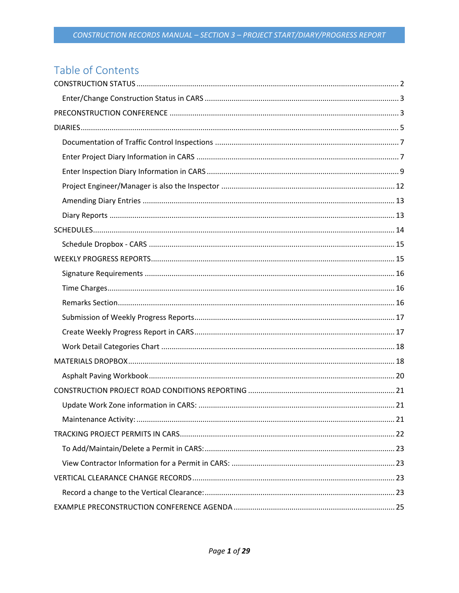# Table of Contents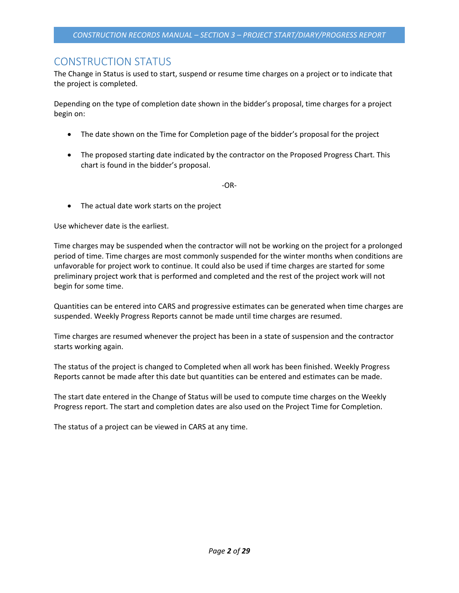## <span id="page-1-0"></span>CONSTRUCTION STATUS

The Change in Status is used to start, suspend or resume time charges on a project or to indicate that the project is completed.

Depending on the type of completion date shown in the bidder's proposal, time charges for a project begin on:

- The date shown on the Time for Completion page of the bidder's proposal for the project
- The proposed starting date indicated by the contractor on the Proposed Progress Chart. This chart is found in the bidder's proposal.

-OR-

• The actual date work starts on the project

Use whichever date is the earliest.

Time charges may be suspended when the contractor will not be working on the project for a prolonged period of time. Time charges are most commonly suspended for the winter months when conditions are unfavorable for project work to continue. It could also be used if time charges are started for some preliminary project work that is performed and completed and the rest of the project work will not begin for some time.

Quantities can be entered into CARS and progressive estimates can be generated when time charges are suspended. Weekly Progress Reports cannot be made until time charges are resumed.

Time charges are resumed whenever the project has been in a state of suspension and the contractor starts working again.

The status of the project is changed to Completed when all work has been finished. Weekly Progress Reports cannot be made after this date but quantities can be entered and estimates can be made.

The start date entered in the Change of Status will be used to compute time charges on the Weekly Progress report. The start and completion dates are also used on the Project Time for Completion.

The status of a project can be viewed in CARS at any time.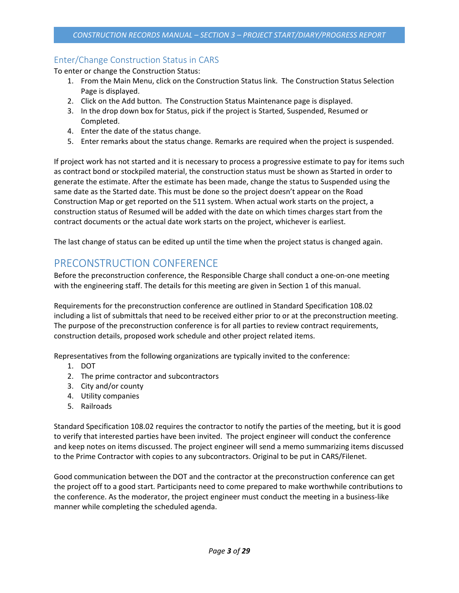## <span id="page-2-0"></span>Enter/Change Construction Status in CARS

To enter or change the Construction Status:

- 1. From the Main Menu, click on the Construction Status link. The Construction Status Selection Page is displayed.
- 2. Click on the Add button. The Construction Status Maintenance page is displayed.
- 3. In the drop down box for Status, pick if the project is Started, Suspended, Resumed or Completed.
- 4. Enter the date of the status change.
- 5. Enter remarks about the status change. Remarks are required when the project is suspended.

If project work has not started and it is necessary to process a progressive estimate to pay for items such as contract bond or stockpiled material, the construction status must be shown as Started in order to generate the estimate. After the estimate has been made, change the status to Suspended using the same date as the Started date. This must be done so the project doesn't appear on the Road Construction Map or get reported on the 511 system. When actual work starts on the project, a construction status of Resumed will be added with the date on which times charges start from the contract documents or the actual date work starts on the project, whichever is earliest.

<span id="page-2-1"></span>The last change of status can be edited up until the time when the project status is changed again.

## PRECONSTRUCTION CONFERENCE

Before the preconstruction conference, the Responsible Charge shall conduct a one-on-one meeting with the engineering staff. The details for this meeting are given in Section 1 of this manual.

Requirements for the preconstruction conference are outlined in Standard Specification 108.02 including a list of submittals that need to be received either prior to or at the preconstruction meeting. The purpose of the preconstruction conference is for all parties to review contract requirements, construction details, proposed work schedule and other project related items.

Representatives from the following organizations are typically invited to the conference:

- 1. DOT
- 2. The prime contractor and subcontractors
- 3. City and/or county
- 4. Utility companies
- 5. Railroads

Standard Specification 108.02 requires the contractor to notify the parties of the meeting, but it is good to verify that interested parties have been invited. The project engineer will conduct the conference and keep notes on items discussed. The project engineer will send a memo summarizing items discussed to the Prime Contractor with copies to any subcontractors. Original to be put in CARS/Filenet.

Good communication between the DOT and the contractor at the preconstruction conference can get the project off to a good start. Participants need to come prepared to make worthwhile contributions to the conference. As the moderator, the project engineer must conduct the meeting in a business-like manner while completing the scheduled agenda.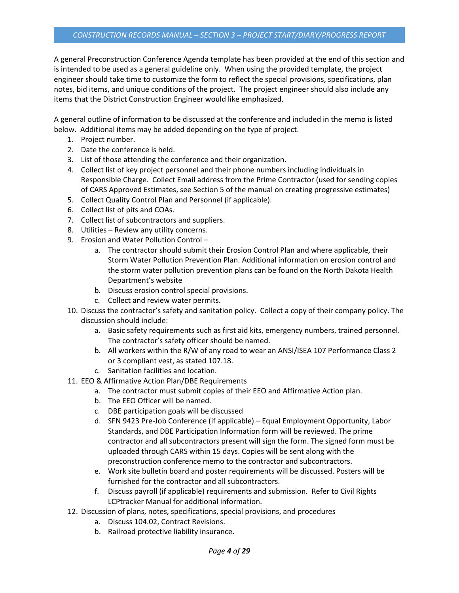A general Preconstruction Conference Agenda template has been provided at the end of this section and is intended to be used as a general guideline only. When using the provided template, the project engineer should take time to customize the form to reflect the special provisions, specifications, plan notes, bid items, and unique conditions of the project. The project engineer should also include any items that the District Construction Engineer would like emphasized.

A general outline of information to be discussed at the conference and included in the memo is listed below. Additional items may be added depending on the type of project.

- 1. Project number.
- 2. Date the conference is held.
- 3. List of those attending the conference and their organization.
- 4. Collect list of key project personnel and their phone numbers including individuals in Responsible Charge. Collect Email address from the Prime Contractor (used for sending copies of CARS Approved Estimates, see Section 5 of the manual on creating progressive estimates)
- 5. Collect Quality Control Plan and Personnel (if applicable).
- 6. Collect list of pits and COAs.
- 7. Collect list of subcontractors and suppliers.
- 8. Utilities Review any utility concerns.
- 9. Erosion and Water Pollution Control
	- a. The contractor should submit their Erosion Control Plan and where applicable, their Storm Water Pollution Prevention Plan. Additional information on erosion control and the storm water pollution prevention plans can be found on the North Dakota Health Department's website
	- b. Discuss erosion control special provisions.
	- c. Collect and review water permits.
- 10. Discuss the contractor's safety and sanitation policy. Collect a copy of their company policy. The discussion should include:
	- a. Basic safety requirements such as first aid kits, emergency numbers, trained personnel. The contractor's safety officer should be named.
	- b. All workers within the R/W of any road to wear an ANSI/ISEA 107 Performance Class 2 or 3 compliant vest, as stated 107.18.
	- c. Sanitation facilities and location.
- 11. EEO & Affirmative Action Plan/DBE Requirements
	- a. The contractor must submit copies of their EEO and Affirmative Action plan.
		- b. The EEO Officer will be named.
		- c. DBE participation goals will be discussed
		- d. SFN 9423 Pre-Job Conference (if applicable) Equal Employment Opportunity, Labor Standards, and DBE Participation Information form will be reviewed. The prime contractor and all subcontractors present will sign the form. The signed form must be uploaded through CARS within 15 days. Copies will be sent along with the preconstruction conference memo to the contractor and subcontractors.
		- e. Work site bulletin board and poster requirements will be discussed. Posters will be furnished for the contractor and all subcontractors.
		- f. Discuss payroll (if applicable) requirements and submission. Refer to Civil Rights LCPtracker Manual for additional information.
- 12. Discussion of plans, notes, specifications, special provisions, and procedures
	- a. Discuss 104.02, Contract Revisions.
	- b. Railroad protective liability insurance.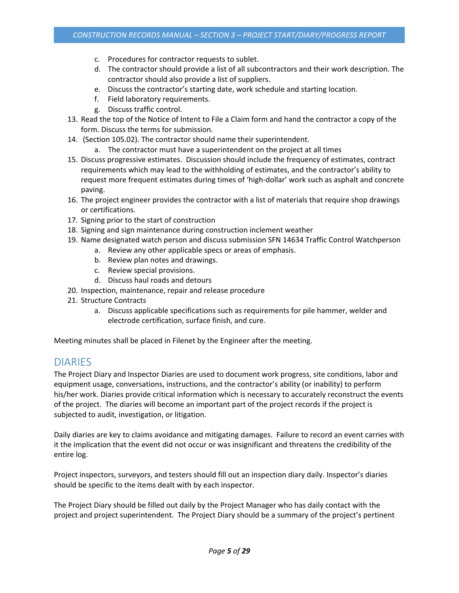- c. Procedures for contractor requests to sublet.
- d. The contractor should provide a list of all subcontractors and their work description. The contractor should also provide a list of suppliers.
- e. Discuss the contractor's starting date, work schedule and starting location.
- f. Field laboratory requirements.
- g. Discuss traffic control.
- 13. Read the top of the Notice of Intent to File a Claim form and hand the contractor a copy of the form. Discuss the terms for submission.
- 14. (Section 105.02). The contractor should name their superintendent.
	- a. The contractor must have a superintendent on the project at all times
- 15. Discuss progressive estimates. Discussion should include the frequency of estimates, contract requirements which may lead to the withholding of estimates, and the contractor's ability to request more frequent estimates during times of 'high-dollar' work such as asphalt and concrete paving.
- 16. The project engineer provides the contractor with a list of materials that require shop drawings or certifications.
- 17. Signing prior to the start of construction
- 18. Signing and sign maintenance during construction inclement weather
- 19. Name designated watch person and discuss submission SFN 14634 Traffic Control Watchperson
	- a. Review any other applicable specs or areas of emphasis.
	- b. Review plan notes and drawings.
	- c. Review special provisions.
	- d. Discuss haul roads and detours
- 20. Inspection, maintenance, repair and release procedure
- 21. Structure Contracts
	- a. Discuss applicable specifications such as requirements for pile hammer, welder and electrode certification, surface finish, and cure.

<span id="page-4-0"></span>Meeting minutes shall be placed in Filenet by the Engineer after the meeting.

## DIARIES

The Project Diary and Inspector Diaries are used to document work progress, site conditions, labor and equipment usage, conversations, instructions, and the contractor's ability (or inability) to perform his/her work. Diaries provide critical information which is necessary to accurately reconstruct the events of the project. The diaries will become an important part of the project records if the project is subjected to audit, investigation, or litigation.

Daily diaries are key to claims avoidance and mitigating damages. Failure to record an event carries with it the implication that the event did not occur or was insignificant and threatens the credibility of the entire log.

Project inspectors, surveyors, and testers should fill out an inspection diary daily. Inspector's diaries should be specific to the items dealt with by each inspector.

The Project Diary should be filled out daily by the Project Manager who has daily contact with the project and project superintendent. The Project Diary should be a summary of the project's pertinent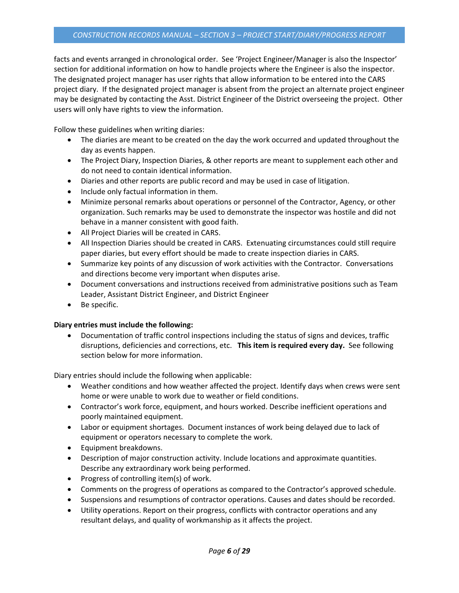facts and events arranged in chronological order. See 'Project Engineer/Manager is also the Inspector' section for additional information on how to handle projects where the Engineer is also the inspector. The designated project manager has user rights that allow information to be entered into the CARS project diary. If the designated project manager is absent from the project an alternate project engineer may be designated by contacting the Asst. District Engineer of the District overseeing the project. Other users will only have rights to view the information.

Follow these guidelines when writing diaries:

- The diaries are meant to be created on the day the work occurred and updated throughout the day as events happen.
- The Project Diary, Inspection Diaries, & other reports are meant to supplement each other and do not need to contain identical information.
- Diaries and other reports are public record and may be used in case of litigation.
- Include only factual information in them.
- Minimize personal remarks about operations or personnel of the Contractor, Agency, or other organization. Such remarks may be used to demonstrate the inspector was hostile and did not behave in a manner consistent with good faith.
- All Project Diaries will be created in CARS.
- All Inspection Diaries should be created in CARS. Extenuating circumstances could still require paper diaries, but every effort should be made to create inspection diaries in CARS.
- Summarize key points of any discussion of work activities with the Contractor. Conversations and directions become very important when disputes arise.
- Document conversations and instructions received from administrative positions such as Team Leader, Assistant District Engineer, and District Engineer
- Be specific.

## **Diary entries must include the following:**

• Documentation of traffic control inspections including the status of signs and devices, traffic disruptions, deficiencies and corrections, etc. **This item is required every day.** See following section below for more information.

Diary entries should include the following when applicable:

- Weather conditions and how weather affected the project. Identify days when crews were sent home or were unable to work due to weather or field conditions.
- Contractor's work force, equipment, and hours worked. Describe inefficient operations and poorly maintained equipment.
- Labor or equipment shortages. Document instances of work being delayed due to lack of equipment or operators necessary to complete the work.
- Equipment breakdowns.
- Description of major construction activity. Include locations and approximate quantities. Describe any extraordinary work being performed.
- Progress of controlling item(s) of work.
- Comments on the progress of operations as compared to the Contractor's approved schedule.
- Suspensions and resumptions of contractor operations. Causes and dates should be recorded.
- Utility operations. Report on their progress, conflicts with contractor operations and any resultant delays, and quality of workmanship as it affects the project.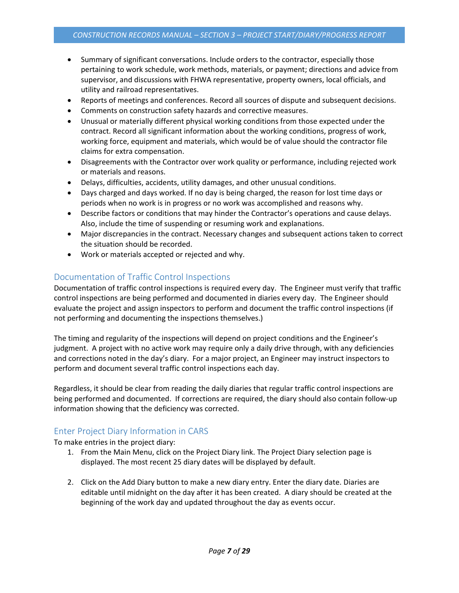- Summary of significant conversations. Include orders to the contractor, especially those pertaining to work schedule, work methods, materials, or payment; directions and advice from supervisor, and discussions with FHWA representative, property owners, local officials, and utility and railroad representatives.
- Reports of meetings and conferences. Record all sources of dispute and subsequent decisions.
- Comments on construction safety hazards and corrective measures.
- Unusual or materially different physical working conditions from those expected under the contract. Record all significant information about the working conditions, progress of work, working force, equipment and materials, which would be of value should the contractor file claims for extra compensation.
- Disagreements with the Contractor over work quality or performance, including rejected work or materials and reasons.
- Delays, difficulties, accidents, utility damages, and other unusual conditions.
- Days charged and days worked. If no day is being charged, the reason for lost time days or periods when no work is in progress or no work was accomplished and reasons why.
- Describe factors or conditions that may hinder the Contractor's operations and cause delays. Also, include the time of suspending or resuming work and explanations.
- Major discrepancies in the contract. Necessary changes and subsequent actions taken to correct the situation should be recorded.
- Work or materials accepted or rejected and why.

## <span id="page-6-0"></span>Documentation of Traffic Control Inspections

Documentation of traffic control inspections is required every day. The Engineer must verify that traffic control inspections are being performed and documented in diaries every day. The Engineer should evaluate the project and assign inspectors to perform and document the traffic control inspections (if not performing and documenting the inspections themselves.)

The timing and regularity of the inspections will depend on project conditions and the Engineer's judgment. A project with no active work may require only a daily drive through, with any deficiencies and corrections noted in the day's diary. For a major project, an Engineer may instruct inspectors to perform and document several traffic control inspections each day.

Regardless, it should be clear from reading the daily diaries that regular traffic control inspections are being performed and documented. If corrections are required, the diary should also contain follow-up information showing that the deficiency was corrected.

## <span id="page-6-1"></span>Enter Project Diary Information in CARS

To make entries in the project diary:

- 1. From the Main Menu, click on the Project Diary link. The Project Diary selection page is displayed. The most recent 25 diary dates will be displayed by default.
- 2. Click on the Add Diary button to make a new diary entry. Enter the diary date. Diaries are editable until midnight on the day after it has been created. A diary should be created at the beginning of the work day and updated throughout the day as events occur.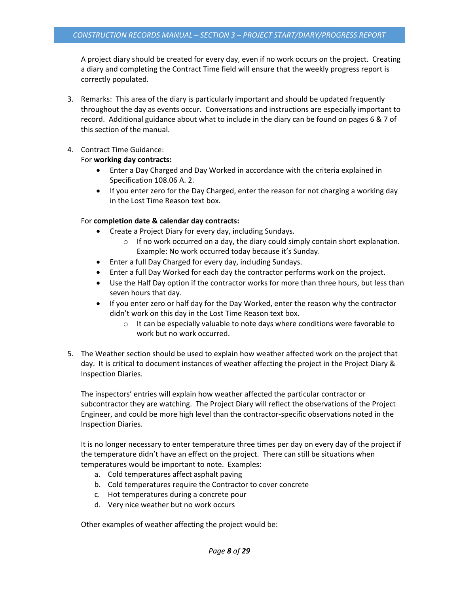A project diary should be created for every day, even if no work occurs on the project. Creating a diary and completing the Contract Time field will ensure that the weekly progress report is correctly populated.

3. Remarks: This area of the diary is particularly important and should be updated frequently throughout the day as events occur. Conversations and instructions are especially important to record. Additional guidance about what to include in the diary can be found on pages 6 & 7 of this section of the manual.

### 4. Contract Time Guidance:

### For **working day contracts:**

- Enter a Day Charged and Day Worked in accordance with the criteria explained in Specification 108.06 A. 2.
- If you enter zero for the Day Charged, enter the reason for not charging a working day in the Lost Time Reason text box.

### For **completion date & calendar day contracts:**

- Create a Project Diary for every day, including Sundays.
	- $\circ$  If no work occurred on a day, the diary could simply contain short explanation. Example: No work occurred today because it's Sunday.
- Enter a full Day Charged for every day, including Sundays.
- Enter a full Day Worked for each day the contractor performs work on the project.
- Use the Half Day option if the contractor works for more than three hours, but less than seven hours that day.
- If you enter zero or half day for the Day Worked, enter the reason why the contractor didn't work on this day in the Lost Time Reason text box.
	- o It can be especially valuable to note days where conditions were favorable to work but no work occurred.
- 5. The Weather section should be used to explain how weather affected work on the project that day. It is critical to document instances of weather affecting the project in the Project Diary & Inspection Diaries.

The inspectors' entries will explain how weather affected the particular contractor or subcontractor they are watching. The Project Diary will reflect the observations of the Project Engineer, and could be more high level than the contractor-specific observations noted in the Inspection Diaries.

It is no longer necessary to enter temperature three times per day on every day of the project if the temperature didn't have an effect on the project. There can still be situations when temperatures would be important to note. Examples:

- a. Cold temperatures affect asphalt paving
- b. Cold temperatures require the Contractor to cover concrete
- c. Hot temperatures during a concrete pour
- d. Very nice weather but no work occurs

Other examples of weather affecting the project would be: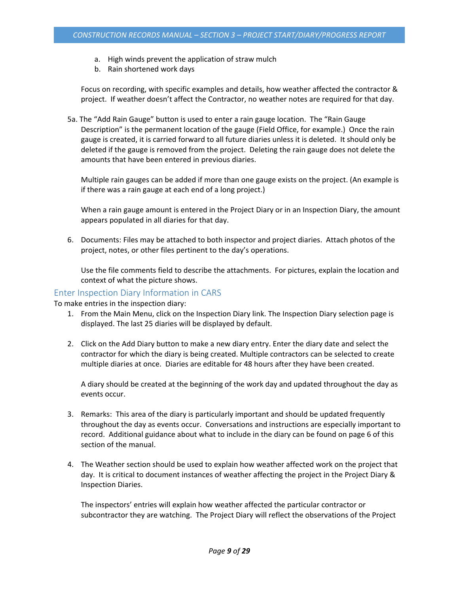- a. High winds prevent the application of straw mulch
- b. Rain shortened work days

Focus on recording, with specific examples and details, how weather affected the contractor & project. If weather doesn't affect the Contractor, no weather notes are required for that day.

5a. The "Add Rain Gauge" button is used to enter a rain gauge location. The "Rain Gauge Description" is the permanent location of the gauge (Field Office, for example.) Once the rain gauge is created, it is carried forward to all future diaries unless it is deleted. It should only be deleted if the gauge is removed from the project. Deleting the rain gauge does not delete the amounts that have been entered in previous diaries.

Multiple rain gauges can be added if more than one gauge exists on the project. (An example is if there was a rain gauge at each end of a long project.)

When a rain gauge amount is entered in the Project Diary or in an Inspection Diary, the amount appears populated in all diaries for that day.

6. Documents: Files may be attached to both inspector and project diaries. Attach photos of the project, notes, or other files pertinent to the day's operations.

Use the file comments field to describe the attachments. For pictures, explain the location and context of what the picture shows.

### <span id="page-8-0"></span>Enter Inspection Diary Information in CARS

To make entries in the inspection diary:

- 1. From the Main Menu, click on the Inspection Diary link. The Inspection Diary selection page is displayed. The last 25 diaries will be displayed by default.
- 2. Click on the Add Diary button to make a new diary entry. Enter the diary date and select the contractor for which the diary is being created. Multiple contractors can be selected to create multiple diaries at once. Diaries are editable for 48 hours after they have been created.

A diary should be created at the beginning of the work day and updated throughout the day as events occur.

- 3. Remarks: This area of the diary is particularly important and should be updated frequently throughout the day as events occur. Conversations and instructions are especially important to record. Additional guidance about what to include in the diary can be found on page 6 of this section of the manual.
- 4. The Weather section should be used to explain how weather affected work on the project that day. It is critical to document instances of weather affecting the project in the Project Diary & Inspection Diaries.

The inspectors' entries will explain how weather affected the particular contractor or subcontractor they are watching. The Project Diary will reflect the observations of the Project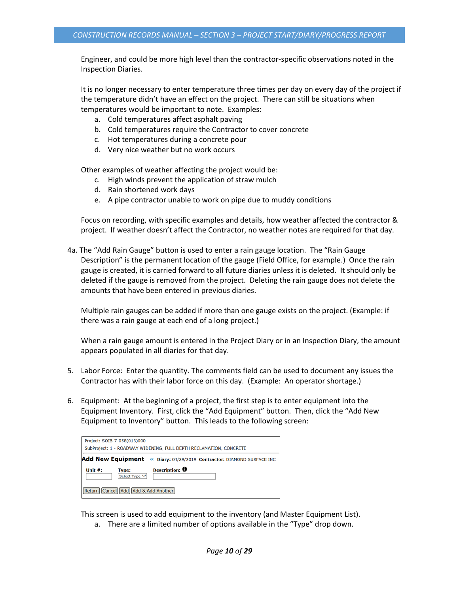Engineer, and could be more high level than the contractor-specific observations noted in the Inspection Diaries.

It is no longer necessary to enter temperature three times per day on every day of the project if the temperature didn't have an effect on the project. There can still be situations when temperatures would be important to note. Examples:

- a. Cold temperatures affect asphalt paving
- b. Cold temperatures require the Contractor to cover concrete
- c. Hot temperatures during a concrete pour
- d. Very nice weather but no work occurs

Other examples of weather affecting the project would be:

- c. High winds prevent the application of straw mulch
- d. Rain shortened work days
- e. A pipe contractor unable to work on pipe due to muddy conditions

Focus on recording, with specific examples and details, how weather affected the contractor & project. If weather doesn't affect the Contractor, no weather notes are required for that day.

4a. The "Add Rain Gauge" button is used to enter a rain gauge location. The "Rain Gauge Description" is the permanent location of the gauge (Field Office, for example.) Once the rain gauge is created, it is carried forward to all future diaries unless it is deleted. It should only be deleted if the gauge is removed from the project. Deleting the rain gauge does not delete the amounts that have been entered in previous diaries.

Multiple rain gauges can be added if more than one gauge exists on the project. (Example: if there was a rain gauge at each end of a long project.)

When a rain gauge amount is entered in the Project Diary or in an Inspection Diary, the amount appears populated in all diaries for that day.

- 5. Labor Force: Enter the quantity. The comments field can be used to document any issues the Contractor has with their labor force on this day. (Example: An operator shortage.)
- 6. Equipment: At the beginning of a project, the first step is to enter equipment into the Equipment Inventory. First, click the "Add Equipment" button. Then, click the "Add New Equipment to Inventory" button. This leads to the following screen:

|                                                                       | Project: SOIB-7-058(013)000   |                                                                    |  |  |  |
|-----------------------------------------------------------------------|-------------------------------|--------------------------------------------------------------------|--|--|--|
|                                                                       |                               | SubProject: 1 - ROADWAY WIDENING, FULL DEPTH RECLAMATION, CONCRETE |  |  |  |
| Add New Equipment « Diary: 04/29/2019 Contractor: DIAMOND SURFACE INC |                               |                                                                    |  |  |  |
| Unit #:                                                               | <b>Type:</b><br>Select Type V | Description: 0                                                     |  |  |  |
| Return Cancel Add Add & Add Another                                   |                               |                                                                    |  |  |  |

This screen is used to add equipment to the inventory (and Master Equipment List).

a. There are a limited number of options available in the "Type" drop down.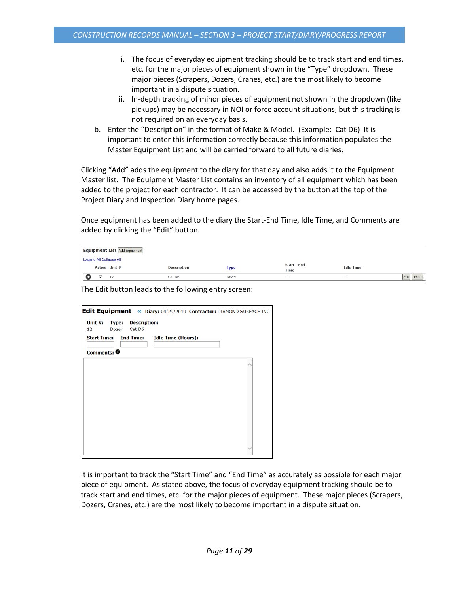- i. The focus of everyday equipment tracking should be to track start and end times, etc. for the major pieces of equipment shown in the "Type" dropdown. These major pieces (Scrapers, Dozers, Cranes, etc.) are the most likely to become important in a dispute situation.
- ii. In-depth tracking of minor pieces of equipment not shown in the dropdown (like pickups) may be necessary in NOI or force account situations, but this tracking is not required on an everyday basis.
- b. Enter the "Description" in the format of Make & Model. (Example: Cat D6) It is important to enter this information correctly because this information populates the Master Equipment List and will be carried forward to all future diaries.

Clicking "Add" adds the equipment to the diary for that day and also adds it to the Equipment Master list. The Equipment Master List contains an inventory of all equipment which has been added to the project for each contractor. It can be accessed by the button at the top of the Project Diary and Inspection Diary home pages.

Once equipment has been added to the diary the Start-End Time, Idle Time, and Comments are added by clicking the "Edit" button.

|  |   | <b>Equipment List Add Equipment</b> |                    |              |                                   |                  |  |
|--|---|-------------------------------------|--------------------|--------------|-----------------------------------|------------------|--|
|  |   | <b>Expand All Collapse All</b>      |                    |              |                                   |                  |  |
|  |   | <b>Active Unit #</b>                | <b>Description</b> | <b>Type</b>  | <b>Start - End</b><br><b>Time</b> | <b>Idle Time</b> |  |
|  | ✔ | 12                                  | Cat D6             | <b>Dozer</b> | $\sim$ $\sim$                     | $\sim$ $\sim$    |  |

The Edit button leads to the following entry screen:

| Edit Equipment « Diary: 04/29/2019 Contractor: DIAMOND SURFACE INC |                           |  |  |  |
|--------------------------------------------------------------------|---------------------------|--|--|--|
| Unit #:<br><b>Type: Description:</b><br>Cat D6<br>12<br>Dozer      |                           |  |  |  |
| <b>Start Time: End Time:</b><br>Comments: $\boldsymbol{\Theta}$    | <b>Idle Time (Hours):</b> |  |  |  |
|                                                                    |                           |  |  |  |
|                                                                    |                           |  |  |  |
|                                                                    |                           |  |  |  |
|                                                                    |                           |  |  |  |
|                                                                    |                           |  |  |  |
|                                                                    |                           |  |  |  |

It is important to track the "Start Time" and "End Time" as accurately as possible for each major piece of equipment. As stated above, the focus of everyday equipment tracking should be to track start and end times, etc. for the major pieces of equipment. These major pieces (Scrapers, Dozers, Cranes, etc.) are the most likely to become important in a dispute situation.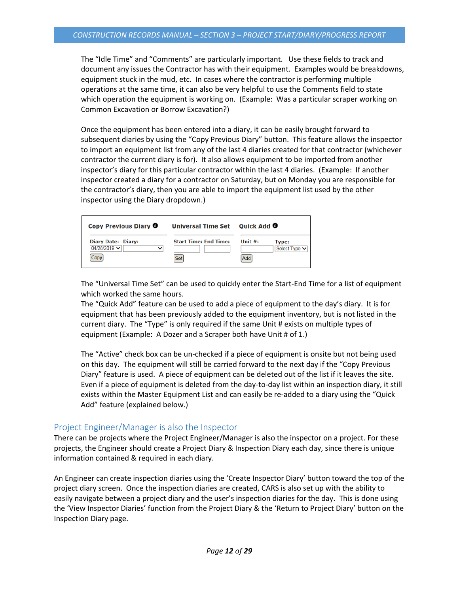The "Idle Time" and "Comments" are particularly important. Use these fields to track and document any issues the Contractor has with their equipment. Examples would be breakdowns, equipment stuck in the mud, etc. In cases where the contractor is performing multiple operations at the same time, it can also be very helpful to use the Comments field to state which operation the equipment is working on. (Example: Was a particular scraper working on Common Excavation or Borrow Excavation?)

Once the equipment has been entered into a diary, it can be easily brought forward to subsequent diaries by using the "Copy Previous Diary" button. This feature allows the inspector to import an equipment list from any of the last 4 diaries created for that contractor (whichever contractor the current diary is for). It also allows equipment to be imported from another inspector's diary for this particular contractor within the last 4 diaries. (Example: If another inspector created a diary for a contractor on Saturday, but on Monday you are responsible for the contractor's diary, then you are able to import the equipment list used by the other inspector using the Diary dropdown.)

| Copy Previous Diary 0                                                  | Universal Time Set Quick Add 0      |                                                                 |
|------------------------------------------------------------------------|-------------------------------------|-----------------------------------------------------------------|
| <b>Diary Date: Diary:</b><br>04/28/2019 $\vee$<br>$\checkmark$<br>Copy | <b>Start Time: End Time:</b><br>Set | Unit $#$ :<br>Type:<br>Select Type $\blacktriangleright$<br>Add |

The "Universal Time Set" can be used to quickly enter the Start-End Time for a list of equipment which worked the same hours.

The "Quick Add" feature can be used to add a piece of equipment to the day's diary. It is for equipment that has been previously added to the equipment inventory, but is not listed in the current diary. The "Type" is only required if the same Unit # exists on multiple types of equipment (Example: A Dozer and a Scraper both have Unit # of 1.)

The "Active" check box can be un-checked if a piece of equipment is onsite but not being used on this day. The equipment will still be carried forward to the next day if the "Copy Previous Diary" feature is used. A piece of equipment can be deleted out of the list if it leaves the site. Even if a piece of equipment is deleted from the day-to-day list within an inspection diary, it still exists within the Master Equipment List and can easily be re-added to a diary using the "Quick Add" feature (explained below.)

## <span id="page-11-0"></span>Project Engineer/Manager is also the Inspector

There can be projects where the Project Engineer/Manager is also the inspector on a project. For these projects, the Engineer should create a Project Diary & Inspection Diary each day, since there is unique information contained & required in each diary.

An Engineer can create inspection diaries using the 'Create Inspector Diary' button toward the top of the project diary screen. Once the inspection diaries are created, CARS is also set up with the ability to easily navigate between a project diary and the user's inspection diaries for the day. This is done using the 'View Inspector Diaries' function from the Project Diary & the 'Return to Project Diary' button on the Inspection Diary page.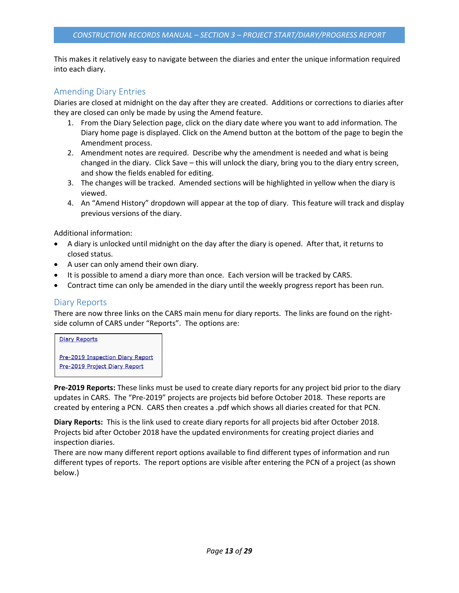This makes it relatively easy to navigate between the diaries and enter the unique information required into each diary.

## <span id="page-12-0"></span>Amending Diary Entries

Diaries are closed at midnight on the day after they are created. Additions or corrections to diaries after they are closed can only be made by using the Amend feature.

- 1. From the Diary Selection page, click on the diary date where you want to add information. The Diary home page is displayed. Click on the Amend button at the bottom of the page to begin the Amendment process.
- 2. Amendment notes are required. Describe why the amendment is needed and what is being changed in the diary. Click Save – this will unlock the diary, bring you to the diary entry screen, and show the fields enabled for editing.
- 3. The changes will be tracked. Amended sections will be highlighted in yellow when the diary is viewed.
- 4. An "Amend History" dropdown will appear at the top of diary. This feature will track and display previous versions of the diary.

Additional information:

- A diary is unlocked until midnight on the day after the diary is opened. After that, it returns to closed status.
- A user can only amend their own diary.
- It is possible to amend a diary more than once. Each version will be tracked by CARS.
- Contract time can only be amended in the diary until the weekly progress report has been run.

## <span id="page-12-1"></span>Diary Reports

There are now three links on the CARS main menu for diary reports. The links are found on the rightside column of CARS under "Reports". The options are:

**Diary Reports** 

Pre-2019 Inspection Diary Report Pre-2019 Project Diary Report

**Pre-2019 Reports:** These links must be used to create diary reports for any project bid prior to the diary updates in CARS. The "Pre-2019" projects are projects bid before October 2018. These reports are created by entering a PCN. CARS then creates a .pdf which shows all diaries created for that PCN.

**Diary Reports:** This is the link used to create diary reports for all projects bid after October 2018. Projects bid after October 2018 have the updated environments for creating project diaries and inspection diaries.

There are now many different report options available to find different types of information and run different types of reports. The report options are visible after entering the PCN of a project (as shown below.)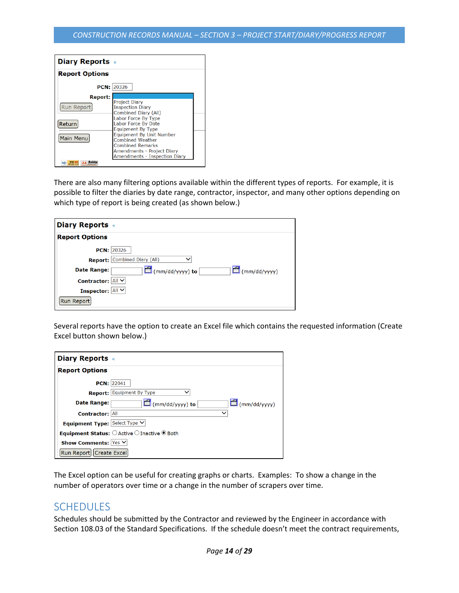| <b>Diary Reports «</b>                                     |                                                                                                                                                                                                                                                                                                                         |  |
|------------------------------------------------------------|-------------------------------------------------------------------------------------------------------------------------------------------------------------------------------------------------------------------------------------------------------------------------------------------------------------------------|--|
| <b>Report Options</b>                                      |                                                                                                                                                                                                                                                                                                                         |  |
|                                                            | <b>PCN: 20326</b>                                                                                                                                                                                                                                                                                                       |  |
| <b>Report:</b><br><b>Run Report</b><br>Return<br>Main Menu | <b>Project Diary</b><br><b>Inspection Diary</b><br><b>Combined Diary (All)</b><br>Labor Force By Type<br>Labor Force By Date<br><b>Equipment By Type</b><br><b>Equipment By Unit Number</b><br><b>Combined Weather</b><br><b>Combined Remarks</b><br>Amendments - Project Diary<br><b>Amendments - Inspection Diary</b> |  |
| AA Bobb<br>WSC WAL-AA                                      |                                                                                                                                                                                                                                                                                                                         |  |

There are also many filtering options available within the different types of reports. For example, it is possible to filter the diaries by date range, contractor, inspector, and many other options depending on which type of report is being created (as shown below.)

| <b>Diary Reports «</b>  |                                        |
|-------------------------|----------------------------------------|
| <b>Report Options</b>   |                                        |
| <b>PCN: 20326</b>       |                                        |
|                         | Report: Combined Diary (All)<br>ັ      |
| Date Range:             | $\Box$ (mm/dd/yyyy)<br>(mm/dd/yyyy) to |
| Contractor: All V       |                                        |
| <b>Inspector: All Y</b> |                                        |
| Run Report              |                                        |

Several reports have the option to create an Excel file which contains the requested information (Create Excel button shown below.)

| <b>Diary Reports «</b>        |                                                     |
|-------------------------------|-----------------------------------------------------|
| <b>Report Options</b>         |                                                     |
|                               | <b>PCN: 22041</b>                                   |
|                               | <b>Report:</b> Equipment By Type                    |
| Date Range:                   | $\Box$ (mm/dd/yyyy) to<br>$\Box$ (mm/dd/yyyy)       |
| <b>Contractor: All</b>        |                                                     |
| Equipment Type: Select Type V |                                                     |
|                               | <b>Equipment Status:</b> ○ Active ○ Inactive ● Both |
| Show Comments: Yes V          |                                                     |
| Run Report   Create Excel     |                                                     |

The Excel option can be useful for creating graphs or charts. Examples: To show a change in the number of operators over time or a change in the number of scrapers over time.

## <span id="page-13-0"></span>**SCHEDULES**

Schedules should be submitted by the Contractor and reviewed by the Engineer in accordance with Section 108.03 of the Standard Specifications. If the schedule doesn't meet the contract requirements,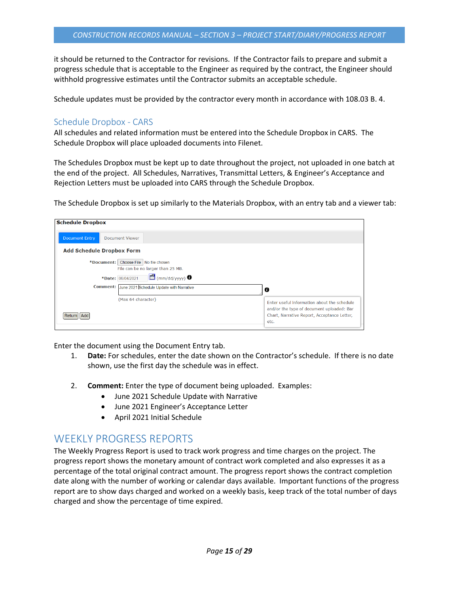it should be returned to the Contractor for revisions. If the Contractor fails to prepare and submit a progress schedule that is acceptable to the Engineer as required by the contract, the Engineer should withhold progressive estimates until the Contractor submits an acceptable schedule.

Schedule updates must be provided by the contractor every month in accordance with 108.03 B. 4.

### <span id="page-14-0"></span>Schedule Dropbox - CARS

All schedules and related information must be entered into the Schedule Dropbox in CARS. The Schedule Dropbox will place uploaded documents into Filenet.

The Schedules Dropbox must be kept up to date throughout the project, not uploaded in one batch at the end of the project. All Schedules, Narratives, Transmittal Letters, & Engineer's Acceptance and Rejection Letters must be uploaded into CARS through the Schedule Dropbox.

The Schedule Dropbox is set up similarly to the Materials Dropbox, with an entry tab and a viewer tab:

| <b>Schedule Dropbox</b>                                                      |                                                                                                                                                 |
|------------------------------------------------------------------------------|-------------------------------------------------------------------------------------------------------------------------------------------------|
| <b>Document Entry</b><br><b>Document Viewer</b>                              |                                                                                                                                                 |
| <b>Add Schedule Dropbox Form</b>                                             |                                                                                                                                                 |
| *Document: Choose File   No file chosen<br>File can be no larger than 25 MB. |                                                                                                                                                 |
| $\boxed{f}$ (mm/dd/yyyy) $\bullet$<br>*Date: 06/04/2021                      |                                                                                                                                                 |
| Comment: June 2021 Schedule Update with Narrative                            | e                                                                                                                                               |
| (Max 64 character)<br>Return     Add                                         | Enter useful information about the schedule<br>and/or the type of document uploaded: Bar<br>Chart, Narrative Report, Acceptance Letter,<br>etc. |

Enter the document using the Document Entry tab.

- 1. **Date:** For schedules, enter the date shown on the Contractor's schedule. If there is no date shown, use the first day the schedule was in effect.
- 2. **Comment:** Enter the type of document being uploaded. Examples:
	- June 2021 Schedule Update with Narrative
	- June 2021 Engineer's Acceptance Letter
	- April 2021 Initial Schedule

## <span id="page-14-1"></span>WEEKLY PROGRESS REPORTS

The Weekly Progress Report is used to track work progress and time charges on the project. The progress report shows the monetary amount of contract work completed and also expresses it as a percentage of the total original contract amount. The progress report shows the contract completion date along with the number of working or calendar days available. Important functions of the progress report are to show days charged and worked on a weekly basis, keep track of the total number of days charged and show the percentage of time expired.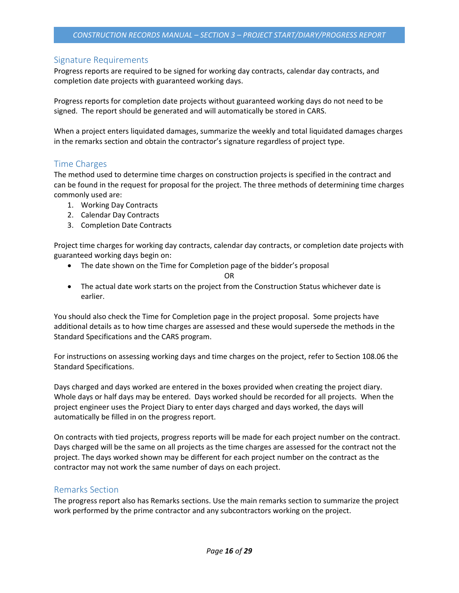## <span id="page-15-0"></span>Signature Requirements

Progress reports are required to be signed for working day contracts, calendar day contracts, and completion date projects with guaranteed working days.

Progress reports for completion date projects without guaranteed working days do not need to be signed. The report should be generated and will automatically be stored in CARS.

When a project enters liquidated damages, summarize the weekly and total liquidated damages charges in the remarks section and obtain the contractor's signature regardless of project type.

### <span id="page-15-1"></span>Time Charges

The method used to determine time charges on construction projects is specified in the contract and can be found in the request for proposal for the project. The three methods of determining time charges commonly used are:

- 1. Working Day Contracts
- 2. Calendar Day Contracts
- 3. Completion Date Contracts

Project time charges for working day contracts, calendar day contracts, or completion date projects with guaranteed working days begin on:

• The date shown on the Time for Completion page of the bidder's proposal

OR

• The actual date work starts on the project from the Construction Status whichever date is earlier.

You should also check the Time for Completion page in the project proposal. Some projects have additional details as to how time charges are assessed and these would supersede the methods in the Standard Specifications and the CARS program.

For instructions on assessing working days and time charges on the project, refer to Section 108.06 the Standard Specifications.

Days charged and days worked are entered in the boxes provided when creating the project diary. Whole days or half days may be entered. Days worked should be recorded for all projects. When the project engineer uses the Project Diary to enter days charged and days worked, the days will automatically be filled in on the progress report.

On contracts with tied projects, progress reports will be made for each project number on the contract. Days charged will be the same on all projects as the time charges are assessed for the contract not the project. The days worked shown may be different for each project number on the contract as the contractor may not work the same number of days on each project.

## <span id="page-15-2"></span>Remarks Section

The progress report also has Remarks sections. Use the main remarks section to summarize the project work performed by the prime contractor and any subcontractors working on the project.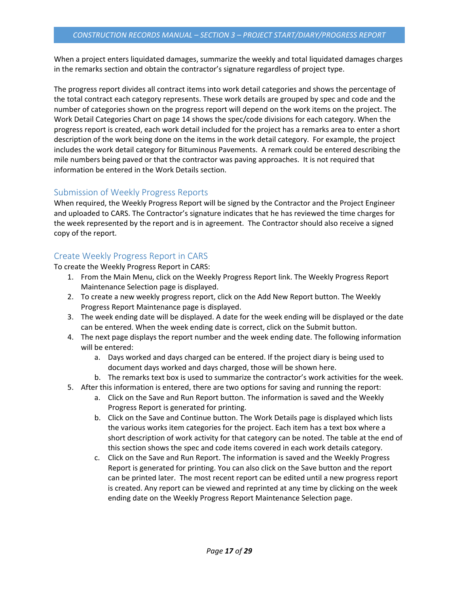When a project enters liquidated damages, summarize the weekly and total liquidated damages charges in the remarks section and obtain the contractor's signature regardless of project type.

The progress report divides all contract items into work detail categories and shows the percentage of the total contract each category represents. These work details are grouped by spec and code and the number of categories shown on the progress report will depend on the work items on the project. The Work Detail Categories Chart on page 14 shows the spec/code divisions for each category. When the progress report is created, each work detail included for the project has a remarks area to enter a short description of the work being done on the items in the work detail category. For example, the project includes the work detail category for Bituminous Pavements. A remark could be entered describing the mile numbers being paved or that the contractor was paving approaches. It is not required that information be entered in the Work Details section.

## <span id="page-16-0"></span>Submission of Weekly Progress Reports

When required, the Weekly Progress Report will be signed by the Contractor and the Project Engineer and uploaded to CARS. The Contractor's signature indicates that he has reviewed the time charges for the week represented by the report and is in agreement. The Contractor should also receive a signed copy of the report.

## <span id="page-16-1"></span>Create Weekly Progress Report in CARS

To create the Weekly Progress Report in CARS:

- 1. From the Main Menu, click on the Weekly Progress Report link. The Weekly Progress Report Maintenance Selection page is displayed.
- 2. To create a new weekly progress report, click on the Add New Report button. The Weekly Progress Report Maintenance page is displayed.
- 3. The week ending date will be displayed. A date for the week ending will be displayed or the date can be entered. When the week ending date is correct, click on the Submit button.
- 4. The next page displays the report number and the week ending date. The following information will be entered:
	- a. Days worked and days charged can be entered. If the project diary is being used to document days worked and days charged, those will be shown here.
	- b. The remarks text box is used to summarize the contractor's work activities for the week.
- 5. After this information is entered, there are two options for saving and running the report:
	- a. Click on the Save and Run Report button. The information is saved and the Weekly Progress Report is generated for printing.
	- b. Click on the Save and Continue button. The Work Details page is displayed which lists the various works item categories for the project. Each item has a text box where a short description of work activity for that category can be noted. The table at the end of this section shows the spec and code items covered in each work details category.
	- c. Click on the Save and Run Report. The information is saved and the Weekly Progress Report is generated for printing. You can also click on the Save button and the report can be printed later. The most recent report can be edited until a new progress report is created. Any report can be viewed and reprinted at any time by clicking on the week ending date on the Weekly Progress Report Maintenance Selection page.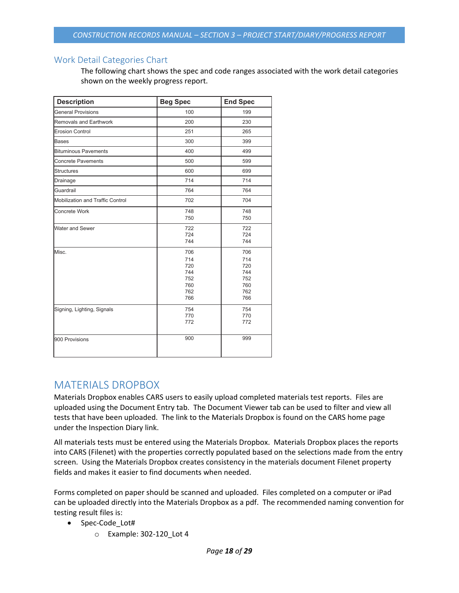## <span id="page-17-0"></span>Work Detail Categories Chart

The following chart shows the spec and code ranges associated with the work detail categories shown on the weekly progress report.

| <b>Description</b>               | <b>Beg Spec</b>                                      | <b>End Spec</b>                                      |
|----------------------------------|------------------------------------------------------|------------------------------------------------------|
| <b>General Provisions</b>        | 100                                                  | 199                                                  |
| Removals and Earthwork           | 200                                                  | 230                                                  |
| <b>Erosion Control</b>           | 251                                                  | 265                                                  |
| <b>Bases</b>                     | 300                                                  | 399                                                  |
| <b>Bituminous Pavements</b>      | 400                                                  | 499                                                  |
| <b>Concrete Pavements</b>        | 500                                                  | 599                                                  |
| <b>Structures</b>                | 600                                                  | 699                                                  |
| Drainage                         | 714                                                  | 714                                                  |
| Guardrail                        | 764                                                  | 764                                                  |
| Mobilization and Traffic Control | 702                                                  | 704                                                  |
| <b>Concrete Work</b>             | 748<br>750                                           | 748<br>750                                           |
| Water and Sewer                  | 722<br>724<br>744                                    | 722<br>724<br>744                                    |
| Misc.                            | 706<br>714<br>720<br>744<br>752<br>760<br>762<br>766 | 706<br>714<br>720<br>744<br>752<br>760<br>762<br>766 |
| Signing, Lighting, Signals       | 754<br>770<br>772                                    | 754<br>770<br>772                                    |
| 900 Provisions                   | 900                                                  | 999                                                  |

## <span id="page-17-1"></span>MATERIALS DROPBOX

Materials Dropbox enables CARS users to easily upload completed materials test reports. Files are uploaded using the Document Entry tab. The Document Viewer tab can be used to filter and view all tests that have been uploaded. The link to the Materials Dropbox is found on the CARS home page under the Inspection Diary link.

All materials tests must be entered using the Materials Dropbox. Materials Dropbox places the reports into CARS (Filenet) with the properties correctly populated based on the selections made from the entry screen. Using the Materials Dropbox creates consistency in the materials document Filenet property fields and makes it easier to find documents when needed.

Forms completed on paper should be scanned and uploaded. Files completed on a computer or iPad can be uploaded directly into the Materials Dropbox as a pdf. The recommended naming convention for testing result files is:

### • Spec-Code\_Lot#

o Example: 302-120\_Lot 4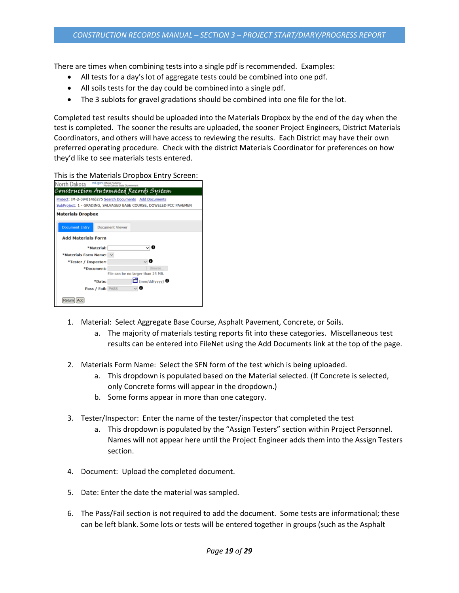There are times when combining tests into a single pdf is recommended. Examples:

- All tests for a day's lot of aggregate tests could be combined into one pdf.
- All soils tests for the day could be combined into a single pdf.
- The 3 sublots for gravel gradations should be combined into one file for the lot.

Completed test results should be uploaded into the Materials Dropbox by the end of the day when the test is completed. The sooner the results are uploaded, the sooner Project Engineers, District Materials Coordinators, and others will have access to reviewing the results. Each District may have their own preferred operating procedure. Check with the district Materials Coordinator for preferences on how they'd like to see materials tests entered.

This is the Materials Dropbox Entry Screen:

| nd.gov Official Portal for<br>North Dakota<br>tate Government                                                                  |
|--------------------------------------------------------------------------------------------------------------------------------|
| Construction Automated Records System                                                                                          |
| Project: IM-2-094(146)275 Search Documents Add Documents<br>SubProject: 1 - GRADING, SALVAGED BASE COURSE, DOWELED PCC PAVEMEN |
| <b>Materials Dropbox</b>                                                                                                       |
| <b>Document Entry</b><br><b>Document Viewer</b>                                                                                |
| <b>Add Materials Form</b>                                                                                                      |
| ≂ 0<br>*Material:                                                                                                              |
| *Materials Form Name: $\vee$                                                                                                   |
| √ 0<br>*Tester / Inspector:                                                                                                    |
| Browse.<br>*Document:                                                                                                          |
| File can be no larger than 25 MB.                                                                                              |
| $\Box$ (mm/dd/vyyy) $\Box$<br>*Date:                                                                                           |
| ↓ Θ<br>Pass / Fail: PASS                                                                                                       |
| Return                                                                                                                         |

- 1. Material: Select Aggregate Base Course, Asphalt Pavement, Concrete, or Soils.
	- a. The majority of materials testing reports fit into these categories. Miscellaneous test results can be entered into FileNet using the Add Documents link at the top of the page.
- 2. Materials Form Name: Select the SFN form of the test which is being uploaded.
	- a. This dropdown is populated based on the Material selected. (If Concrete is selected, only Concrete forms will appear in the dropdown.)
	- b. Some forms appear in more than one category.
- 3. Tester/Inspector: Enter the name of the tester/inspector that completed the test
	- a. This dropdown is populated by the "Assign Testers" section within Project Personnel. Names will not appear here until the Project Engineer adds them into the Assign Testers section.
- 4. Document: Upload the completed document.
- 5. Date: Enter the date the material was sampled.
- 6. The Pass/Fail section is not required to add the document. Some tests are informational; these can be left blank. Some lots or tests will be entered together in groups (such as the Asphalt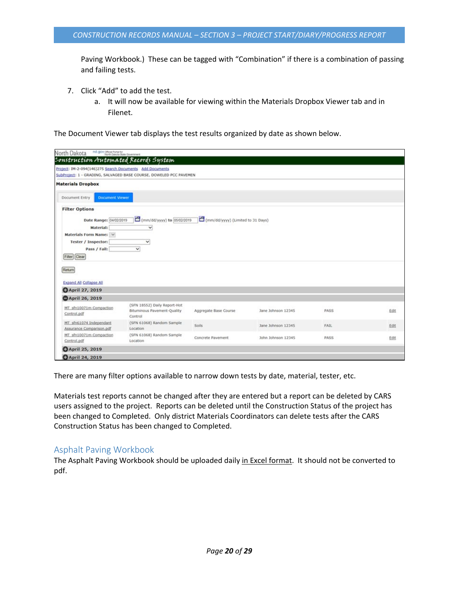Paving Workbook.) These can be tagged with "Combination" if there is a combination of passing and failing tests.

- 7. Click "Add" to add the test.
	- a. It will now be available for viewing within the Materials Dropbox Viewer tab and in Filenet.

The Document Viewer tab displays the test results organized by date as shown below.

| North Dakota na govonantente<br>Construction Automated Records System                                                                                                                     |                                                                            |                                   |                    |      |      |
|-------------------------------------------------------------------------------------------------------------------------------------------------------------------------------------------|----------------------------------------------------------------------------|-----------------------------------|--------------------|------|------|
|                                                                                                                                                                                           |                                                                            |                                   |                    |      |      |
| Project: IM-2-094(146)275 Search Documents Add Documents                                                                                                                                  | SubProject: 1 - GRADING, SALVAGED BASE COURSE, DOWELED PCC PAVEMEN         |                                   |                    |      |      |
| <b>Materials Dropbox</b>                                                                                                                                                                  |                                                                            |                                   |                    |      |      |
| <b>Document Viewer</b><br>Document Entry                                                                                                                                                  |                                                                            |                                   |                    |      |      |
| <b>Filter Options</b><br>Date Range: 04/02/2019<br>Material:<br>Materials Form Name: V<br>Tester / Inspector:<br>Pass / Fail:<br>Filter Clear<br>Return<br><b>Expand All Collapse All</b> | (mm/dd/yyyy) to 05/02/2019<br>v<br>$\checkmark$<br>$\overline{\mathbf{v}}$ | (mm/dd/yyyy) (Limited to 31 Days) |                    |      |      |
| <b>OApril 27, 2019</b>                                                                                                                                                                    |                                                                            |                                   |                    |      |      |
| <b>April 26, 2019</b>                                                                                                                                                                     |                                                                            |                                   |                    |      |      |
| MT sfn10071m Compaction<br>Control.pdf                                                                                                                                                    | (SFN 18552) Daily Report-Hot<br>Bituminous Pavement-Quality<br>Control     | Aggregate Base Course             | Jane Johnson 12345 | PASS | Edit |
| MT_sfn61074 Independant<br>Assurance Comparison.pdf                                                                                                                                       | (SFN 61068) Random Sample<br>Location                                      | Soils                             | Jane Johnson 12345 | FAIL | Edit |
| MT sfn10071m Compaction<br>Control.pdf                                                                                                                                                    | (SFN 61068) Random Sample<br>Location                                      | Concrete Pavement                 | John Johnson 12345 | PASS | Edit |
| <b>OApril 25, 2019</b>                                                                                                                                                                    |                                                                            |                                   |                    |      |      |
| <b>O</b> April 24, 2019                                                                                                                                                                   |                                                                            |                                   |                    |      |      |

There are many filter options available to narrow down tests by date, material, tester, etc.

Materials test reports cannot be changed after they are entered but a report can be deleted by CARS users assigned to the project. Reports can be deleted until the Construction Status of the project has been changed to Completed. Only district Materials Coordinators can delete tests after the CARS Construction Status has been changed to Completed.

### <span id="page-19-0"></span>Asphalt Paving Workbook

The Asphalt Paving Workbook should be uploaded daily in Excel format. It should not be converted to pdf.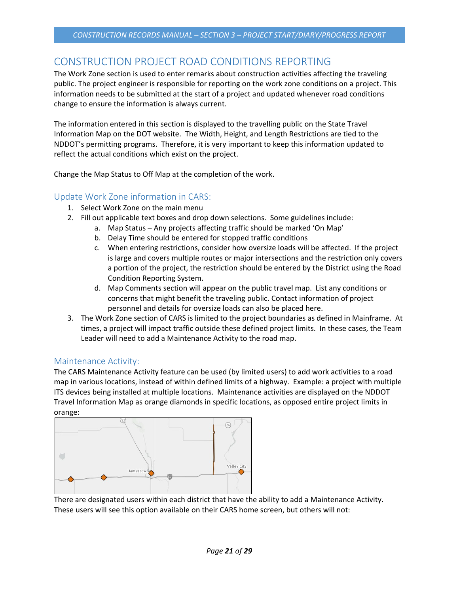## <span id="page-20-0"></span>CONSTRUCTION PROJECT ROAD CONDITIONS REPORTING

The Work Zone section is used to enter remarks about construction activities affecting the traveling public. The project engineer is responsible for reporting on the work zone conditions on a project. This information needs to be submitted at the start of a project and updated whenever road conditions change to ensure the information is always current.

The information entered in this section is displayed to the travelling public on the State Travel Information Map on the DOT website. The Width, Height, and Length Restrictions are tied to the NDDOT's permitting programs. Therefore, it is very important to keep this information updated to reflect the actual conditions which exist on the project.

Change the Map Status to Off Map at the completion of the work.

## <span id="page-20-1"></span>Update Work Zone information in CARS:

- 1. Select Work Zone on the main menu
- 2. Fill out applicable text boxes and drop down selections. Some guidelines include:
	- a. Map Status Any projects affecting traffic should be marked 'On Map'
	- b. Delay Time should be entered for stopped traffic conditions
	- c. When entering restrictions, consider how oversize loads will be affected. If the project is large and covers multiple routes or major intersections and the restriction only covers a portion of the project, the restriction should be entered by the District using the Road Condition Reporting System.
	- d. Map Comments section will appear on the public travel map. List any conditions or concerns that might benefit the traveling public. Contact information of project personnel and details for oversize loads can also be placed here.
- 3. The Work Zone section of CARS is limited to the project boundaries as defined in Mainframe. At times, a project will impact traffic outside these defined project limits. In these cases, the Team Leader will need to add a Maintenance Activity to the road map.

## <span id="page-20-2"></span>Maintenance Activity:

The CARS Maintenance Activity feature can be used (by limited users) to add work activities to a road map in various locations, instead of within defined limits of a highway. Example: a project with multiple ITS devices being installed at multiple locations. Maintenance activities are displayed on the NDDOT Travel Information Map as orange diamonds in specific locations, as opposed entire project limits in orange:



There are designated users within each district that have the ability to add a Maintenance Activity. These users will see this option available on their CARS home screen, but others will not: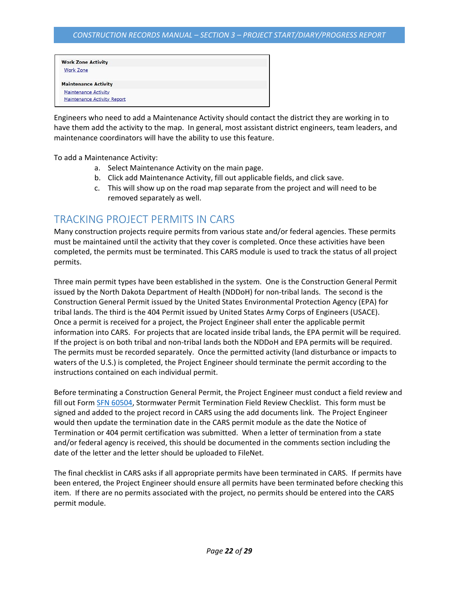| <b>Work Zone Activity</b>          |  |
|------------------------------------|--|
| <b>Work Zone</b>                   |  |
| <b>Maintenance Activity</b>        |  |
| <b>Maintenance Activity</b>        |  |
| <b>Maintenance Activity Report</b> |  |

Engineers who need to add a Maintenance Activity should contact the district they are working in to have them add the activity to the map. In general, most assistant district engineers, team leaders, and maintenance coordinators will have the ability to use this feature.

To add a Maintenance Activity:

- a. Select Maintenance Activity on the main page.
- b. Click add Maintenance Activity, fill out applicable fields, and click save.
- c. This will show up on the road map separate from the project and will need to be removed separately as well.

## <span id="page-21-0"></span>TRACKING PROJECT PERMITS IN CARS

Many construction projects require permits from various state and/or federal agencies. These permits must be maintained until the activity that they cover is completed. Once these activities have been completed, the permits must be terminated. This CARS module is used to track the status of all project permits.

Three main permit types have been established in the system. One is the Construction General Permit issued by the North Dakota Department of Health (NDDoH) for non-tribal lands. The second is the Construction General Permit issued by the United States Environmental Protection Agency (EPA) for tribal lands. The third is the 404 Permit issued by United States Army Corps of Engineers (USACE). Once a permit is received for a project, the Project Engineer shall enter the applicable permit information into CARS. For projects that are located inside tribal lands, the EPA permit will be required. If the project is on both tribal and non-tribal lands both the NDDoH and EPA permits will be required. The permits must be recorded separately. Once the permitted activity (land disturbance or impacts to waters of the U.S.) is completed, the Project Engineer should terminate the permit according to the instructions contained on each individual permit.

Before terminating a Construction General Permit, the Project Engineer must conduct a field review and fill out Form [SFN 60504,](http://www.dot.nd.gov/forms/sfn60504.pdf) Stormwater Permit Termination Field Review Checklist. This form must be signed and added to the project record in CARS using the add documents link. The Project Engineer would then update the termination date in the CARS permit module as the date the Notice of Termination or 404 permit certification was submitted. When a letter of termination from a state and/or federal agency is received, this should be documented in the comments section including the date of the letter and the letter should be uploaded to FileNet.

The final checklist in CARS asks if all appropriate permits have been terminated in CARS. If permits have been entered, the Project Engineer should ensure all permits have been terminated before checking this item. If there are no permits associated with the project, no permits should be entered into the CARS permit module.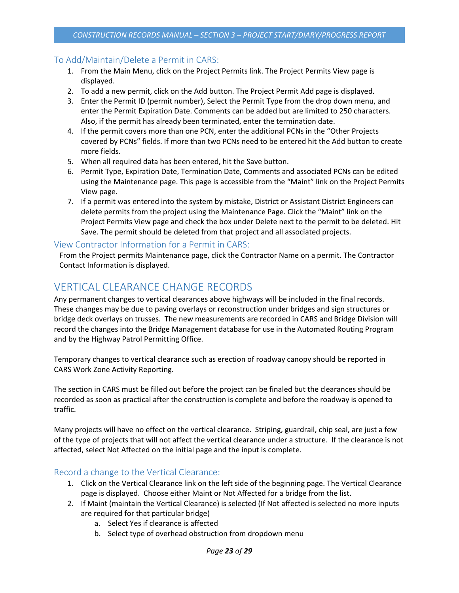## <span id="page-22-0"></span>To Add/Maintain/Delete a Permit in CARS:

- 1. From the Main Menu, click on the Project Permits link. The Project Permits View page is displayed.
- 2. To add a new permit, click on the Add button. The Project Permit Add page is displayed.
- 3. Enter the Permit ID (permit number), Select the Permit Type from the drop down menu, and enter the Permit Expiration Date. Comments can be added but are limited to 250 characters. Also, if the permit has already been terminated, enter the termination date.
- 4. If the permit covers more than one PCN, enter the additional PCNs in the "Other Projects covered by PCNs" fields. If more than two PCNs need to be entered hit the Add button to create more fields.
- 5. When all required data has been entered, hit the Save button.
- 6. Permit Type, Expiration Date, Termination Date, Comments and associated PCNs can be edited using the Maintenance page. This page is accessible from the "Maint" link on the Project Permits View page.
- 7. If a permit was entered into the system by mistake, District or Assistant District Engineers can delete permits from the project using the Maintenance Page. Click the "Maint" link on the Project Permits View page and check the box under Delete next to the permit to be deleted. Hit Save. The permit should be deleted from that project and all associated projects.

### <span id="page-22-1"></span>View Contractor Information for a Permit in CARS:

From the Project permits Maintenance page, click the Contractor Name on a permit. The Contractor Contact Information is displayed.

## <span id="page-22-2"></span>VERTICAL CLEARANCE CHANGE RECORDS

Any permanent changes to vertical clearances above highways will be included in the final records. These changes may be due to paving overlays or reconstruction under bridges and sign structures or bridge deck overlays on trusses. The new measurements are recorded in CARS and Bridge Division will record the changes into the Bridge Management database for use in the Automated Routing Program and by the Highway Patrol Permitting Office.

Temporary changes to vertical clearance such as erection of roadway canopy should be reported in CARS Work Zone Activity Reporting.

The section in CARS must be filled out before the project can be finaled but the clearances should be recorded as soon as practical after the construction is complete and before the roadway is opened to traffic.

Many projects will have no effect on the vertical clearance. Striping, guardrail, chip seal, are just a few of the type of projects that will not affect the vertical clearance under a structure. If the clearance is not affected, select Not Affected on the initial page and the input is complete.

### <span id="page-22-3"></span>Record a change to the Vertical Clearance:

- 1. Click on the Vertical Clearance link on the left side of the beginning page. The Vertical Clearance page is displayed. Choose either Maint or Not Affected for a bridge from the list.
- 2. If Maint (maintain the Vertical Clearance) is selected (If Not affected is selected no more inputs are required for that particular bridge)
	- a. Select Yes if clearance is affected
	- b. Select type of overhead obstruction from dropdown menu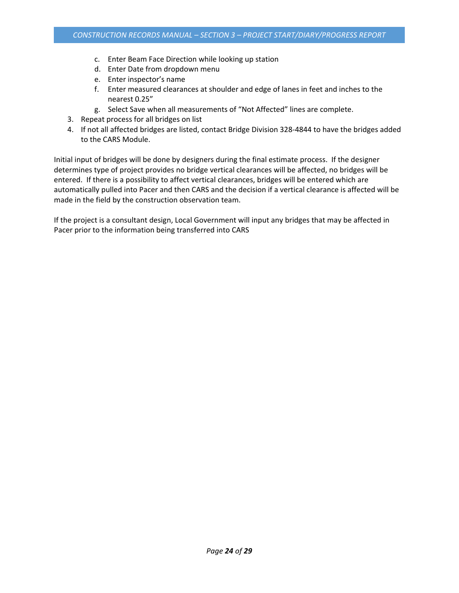- c. Enter Beam Face Direction while looking up station
- d. Enter Date from dropdown menu
- e. Enter inspector's name
- f. Enter measured clearances at shoulder and edge of lanes in feet and inches to the nearest 0.25"
- g. Select Save when all measurements of "Not Affected" lines are complete.
- 3. Repeat process for all bridges on list
- 4. If not all affected bridges are listed, contact Bridge Division 328-4844 to have the bridges added to the CARS Module.

Initial input of bridges will be done by designers during the final estimate process. If the designer determines type of project provides no bridge vertical clearances will be affected, no bridges will be entered. If there is a possibility to affect vertical clearances, bridges will be entered which are automatically pulled into Pacer and then CARS and the decision if a vertical clearance is affected will be made in the field by the construction observation team.

If the project is a consultant design, Local Government will input any bridges that may be affected in Pacer prior to the information being transferred into CARS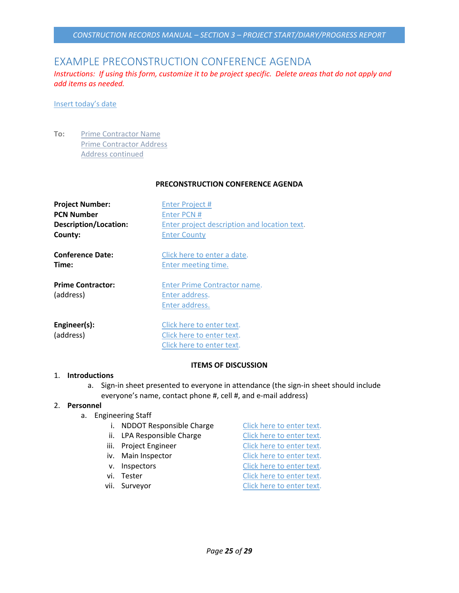## <span id="page-24-0"></span>EXAMPLE PRECONSTRUCTION CONFERENCE AGENDA

*Instructions: If using this form, customize it to be project specific. Delete areas that do not apply and add items as needed.* 

#### Insert today's date

**To:** Prime Contractor Name Prime Contractor Address Address continued

#### **PRECONSTRUCTION CONFERENCE AGENDA**

| <b>Project Number:</b>                | <b>Enter Project #</b>                                                              |
|---------------------------------------|-------------------------------------------------------------------------------------|
| <b>PCN Number</b>                     | Enter PCN #                                                                         |
| Description/Location:                 | Enter project description and location text.                                        |
| County:                               | <b>Enter County</b>                                                                 |
| <b>Conference Date:</b>               | Click here to enter a date.                                                         |
| Time:                                 | Enter meeting time.                                                                 |
| <b>Prime Contractor:</b><br>(address) | Enter Prime Contractor name.<br>Enter address.<br>Enter address.                    |
| Engineer(s):<br>(address)             | Click here to enter text.<br>Click here to enter text.<br>Click here to enter text. |

#### **ITEMS OF DISCUSSION**

#### 1. **Introductions**

a. Sign-in sheet presented to everyone in attendance (the sign-in sheet should include everyone's name, contact phone #, cell #, and e-mail address)

#### 2. **Personnel**

- a. Engineering Staff
	- i. NDDOT Responsible Charge Click here to enter text.
	- ii. LPA Responsible Charge Click here to enter text.
	-
	-
	-
	-
	-
	- iii. Project Engineer Click here to enter text. iv. Main Inspector Click here to enter text. v. Inspectors Click here to enter text. vi. Tester **Click here to enter text.** vii. Surveyor Click here to enter text.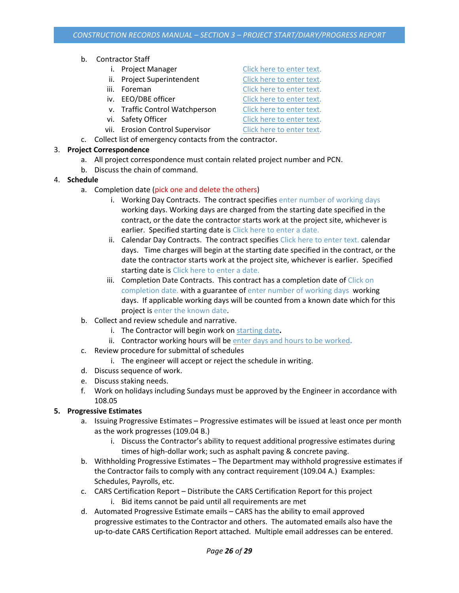- b. Contractor Staff
	- i. Project Manager Click here to enter text.
	- ii. Project Superintendent Click here to enter text.
	-
	-
	- v. Traffic Control Watchperson Click here to enter text.
	-
	- vii. Erosion Control Supervisor Click here to enter text.
- c. Collect list of emergency contacts from the contractor.

### 3. **Project Correspondence**

- a. All project correspondence must contain related project number and PCN.
- b. Discuss the chain of command.
- 4. **Schedule**
	- a. Completion date (pick one and delete the others)
		- i. Working Day Contracts. The contract specifies enter number of working days working days. Working days are charged from the starting date specified in the contract, or the date the contractor starts work at the project site, whichever is earlier. Specified starting date is Click here to enter a date.
		- ii. Calendar Day Contracts. The contract specifies Click here to enter text. calendar days. Time charges will begin at the starting date specified in the contract, or the date the contractor starts work at the project site, whichever is earlier. Specified starting date is Click here to enter a date.
		- iii. Completion Date Contracts. This contract has a completion date of Click on completion date. with a guarantee of enter number of working days working days. If applicable working days will be counted from a known date which for this project is enter the known date.
	- b. Collect and review schedule and narrative.
		- i. The Contractor will begin work on starting date**.**
		- ii. Contractor working hours will be enter days and hours to be worked**.**
	- c. Review procedure for submittal of schedules
		- i. The engineer will accept or reject the schedule in writing.
	- d. Discuss sequence of work.
	- e. Discuss staking needs.
	- f. Work on holidays including Sundays must be approved by the Engineer in accordance with 108.05

## **5. Progressive Estimates**

- a. Issuing Progressive Estimates Progressive estimates will be issued at least once per month as the work progresses (109.04 B.)
	- i. Discuss the Contractor's ability to request additional progressive estimates during times of high-dollar work; such as asphalt paving & concrete paving.
- b. Withholding Progressive Estimates The Department may withhold progressive estimates if the Contractor fails to comply with any contract requirement (109.04 A.) Examples: Schedules, Payrolls, etc.
- c. CARS Certification Report Distribute the CARS Certification Report for this project i. Bid items cannot be paid until all requirements are met
- d. Automated Progressive Estimate emails CARS has the ability to email approved progressive estimates to the Contractor and others. The automated emails also have the up-to-date CARS Certification Report attached. Multiple email addresses can be entered.

iii. Foreman Click here to enter text. iv. EEO/DBE officer Click here to enter text. vi. Safety Officer Click here to enter text.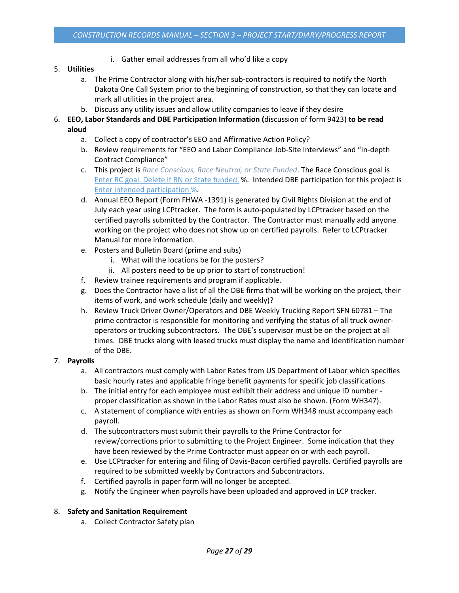i. Gather email addresses from all who'd like a copy

### 5. **Utilities**

- a. The Prime Contractor along with his/her sub-contractors is required to notify the North Dakota One Call System prior to the beginning of construction, so that they can locate and mark all utilities in the project area.
- b. Discuss any utility issues and allow utility companies to leave if they desire
- 6. **EEO, Labor Standards and DBE Participation Information (**discussion of form 9423) **to be read aloud**
	- a. Collect a copy of contractor's EEO and Affirmative Action Policy?
	- b. Review requirements for "EEO and Labor Compliance Job-Site Interviews" and "In-depth Contract Compliance"
	- c. This project is *Race Conscious, Race Neutral, or State Funded*. The Race Conscious goal is Enter RC goal. Delete if RN or State funded. %. Intended DBE participation for this project is Enter intended participation %.
	- d. Annual EEO Report (Form FHWA -1391) is generated by Civil Rights Division at the end of July each year using LCPtracker. The form is auto-populated by LCPtracker based on the certified payrolls submitted by the Contractor. The Contractor must manually add anyone working on the project who does not show up on certified payrolls. Refer to LCPtracker Manual for more information.
	- e. Posters and Bulletin Board (prime and subs)
		- i. What will the locations be for the posters?
		- ii. All posters need to be up prior to start of construction!
	- f. Review trainee requirements and program if applicable.
	- g. Does the Contractor have a list of all the DBE firms that will be working on the project, their items of work, and work schedule (daily and weekly)?
	- h. Review Truck Driver Owner/Operators and DBE Weekly Trucking Report SFN 60781 The prime contractor is responsible for monitoring and verifying the status of all truck owneroperators or trucking subcontractors. The DBE's supervisor must be on the project at all times. DBE trucks along with leased trucks must display the name and identification number of the DBE.

### 7. **Payrolls**

- a. All contractors must comply with Labor Rates from US Department of Labor which specifies basic hourly rates and applicable fringe benefit payments for specific job classifications
- b. The initial entry for each employee must exhibit their address and unique ID number proper classification as shown in the Labor Rates must also be shown. (Form WH347).
- c. A statement of compliance with entries as shown on Form WH348 must accompany each payroll.
- d. The subcontractors must submit their payrolls to the Prime Contractor for review/corrections prior to submitting to the Project Engineer. Some indication that they have been reviewed by the Prime Contractor must appear on or with each payroll.
- e. Use LCPtracker for entering and filing of Davis-Bacon certified payrolls. Certified payrolls are required to be submitted weekly by Contractors and Subcontractors.
- f. Certified payrolls in paper form will no longer be accepted.
- g. Notify the Engineer when payrolls have been uploaded and approved in LCP tracker.

### 8. **Safety and Sanitation Requirement**

a. Collect Contractor Safety plan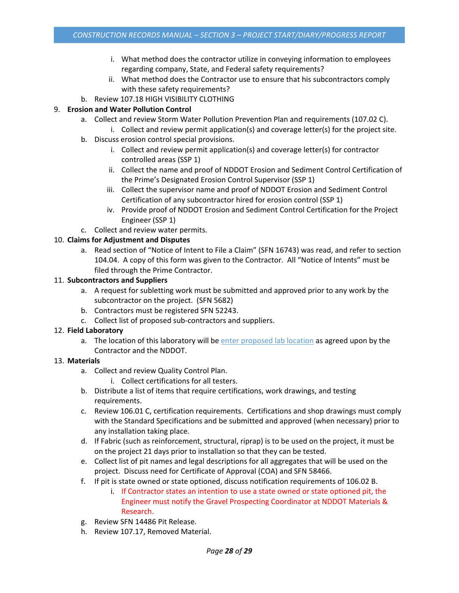- i. What method does the contractor utilize in conveying information to employees regarding company, State, and Federal safety requirements?
- ii. What method does the Contractor use to ensure that his subcontractors comply with these safety requirements?
- b. Review 107.18 HIGH VISIBILITY CLOTHING

### 9. **Erosion and Water Pollution Control**

- a. Collect and review Storm Water Pollution Prevention Plan and requirements (107.02 C).
	- i. Collect and review permit application(s) and coverage letter(s) for the project site.
- b. Discuss erosion control special provisions.
	- i. Collect and review permit application(s) and coverage letter(s) for contractor controlled areas (SSP 1)
	- ii. Collect the name and proof of NDDOT Erosion and Sediment Control Certification of the Prime's Designated Erosion Control Supervisor (SSP 1)
	- iii. Collect the supervisor name and proof of NDDOT Erosion and Sediment Control Certification of any subcontractor hired for erosion control (SSP 1)
	- iv. Provide proof of NDDOT Erosion and Sediment Control Certification for the Project Engineer (SSP 1)
- c. Collect and review water permits.

## 10. **Claims for Adjustment and Disputes**

a. Read section of "Notice of Intent to File a Claim" (SFN 16743) was read, and refer to section 104.04. A copy of this form was given to the Contractor. All "Notice of Intents" must be filed through the Prime Contractor.

### 11. **Subcontractors and Suppliers**

- a. A request for subletting work must be submitted and approved prior to any work by the subcontractor on the project. (SFN 5682)
- b. Contractors must be registered SFN 52243.
- c. Collect list of proposed sub-contractors and suppliers.

### 12. **Field Laboratory**

a. The location of this laboratory will be enter proposed lab location as agreed upon by the Contractor and the NDDOT.

### 13. **Materials**

- a. Collect and review Quality Control Plan.
	- i. Collect certifications for all testers.
- b. Distribute a list of items that require certifications, work drawings, and testing requirements.
- c. Review 106.01 C, certification requirements. Certifications and shop drawings must comply with the Standard Specifications and be submitted and approved (when necessary) prior to any installation taking place.
- d. If Fabric (such as reinforcement, structural, riprap) is to be used on the project, it must be on the project 21 days prior to installation so that they can be tested.
- e. Collect list of pit names and legal descriptions for all aggregates that will be used on the project. Discuss need for Certificate of Approval (COA) and SFN 58466.
- f. If pit is state owned or state optioned, discuss notification requirements of 106.02 B.
	- i. If Contractor states an intention to use a state owned or state optioned pit, the Engineer must notify the Gravel Prospecting Coordinator at NDDOT Materials & Research.
- g. Review SFN 14486 Pit Release.
- h. Review 107.17, Removed Material.